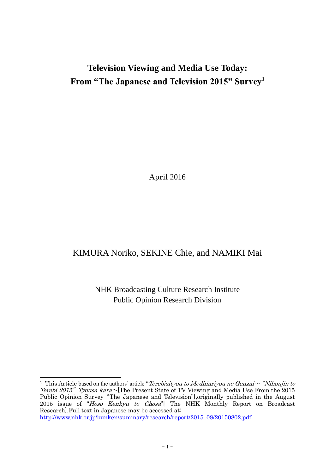# **Television Viewing and Media Use Today: From "The Japanese and Television 2015" Survey<sup>1</sup>**

April 2016

# KIMURA Noriko, SEKINE Chie, and NAMIKI Mai

NHK Broadcasting Culture Research Institute Public Opinion Research Division

<sup>&</sup>lt;sup>1</sup> This Article based on the authors' article "*Terebisityou to Medhiariyou no Genzai*  $\sim$  "*Nihonjin to*" Terebi 2015" Tyousa kara~[The Present State of TV Viewing and Media Use From the 2015 Public Opinion Survey"The Japanese and Television"],originally published in the August 2015 issue of "Hoso Kenkyu to Chosa" The NHK Monthly Report on Broadcast Research].Full text in Japanese may be accessed at: [http://www.nhk.or.jp/bunken/summary/research/report/2015\\_08/20150802.pdf](http://www.nhk.or.jp/bunken/summary/research/report/2015_08/20150802.pdf)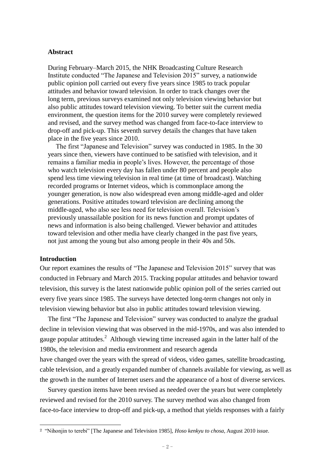#### **Abstract**

During February–March 2015, the NHK Broadcasting Culture Research Institute conducted "The Japanese and Television 2015" survey, a nationwide public opinion poll carried out every five years since 1985 to track popular attitudes and behavior toward television. In order to track changes over the long term, previous surveys examined not only television viewing behavior but also public attitudes toward television viewing. To better suit the current media environment, the question items for the 2010 survey were completely reviewed and revised, and the survey method was changed from face-to-face interview to drop-off and pick-up. This seventh survey details the changes that have taken place in the five years since 2010.

The first "Japanese and Television" survey was conducted in 1985. In the 30 years since then, viewers have continued to be satisfied with television, and it remains a familiar media in people's lives. However, the percentage of those who watch television every day has fallen under 80 percent and people also spend less time viewing television in real time (at time of broadcast). Watching recorded programs or Internet videos, which is commonplace among the younger generation, is now also widespread even among middle-aged and older generations. Positive attitudes toward television are declining among the middle-aged, who also see less need for television overall. Television's previously unassailable position for its news function and prompt updates of news and information is also being challenged. Viewer behavior and attitudes toward television and other media have clearly changed in the past five years, not just among the young but also among people in their 40s and 50s.

#### **Introduction**

 $\overline{a}$ 

Our report examines the results of "The Japanese and Television 2015" survey that was conducted in February and March 2015. Tracking popular attitudes and behavior toward television, this survey is the latest nationwide public opinion poll of the series carried out every five years since 1985. The surveys have detected long-term changes not only in television viewing behavior but also in public attitudes toward television viewing.

The first "The Japanese and Television" survey was conducted to analyze the gradual decline in television viewing that was observed in the mid-1970s, and was also intended to gauge popular attitudes.<sup>2</sup> Although viewing time increased again in the latter half of the 1980s, the television and media environment and research agenda have changed over the years with the spread of videos, video games, satellite broadcasting, cable television, and a greatly expanded number of channels available for viewing, as well as the growth in the number of Internet users and the appearance of a host of diverse services.

Survey question items have been revised as needed over the years but were completely reviewed and revised for the 2010 survey. The survey method was also changed from face-to-face interview to drop-off and pick-up, a method that yields responses with a fairly

<sup>2</sup> "Nihonjin to terebi" [The Japanese and Television 1985], *Hoso kenkyu to chosa*, August 2010 issue.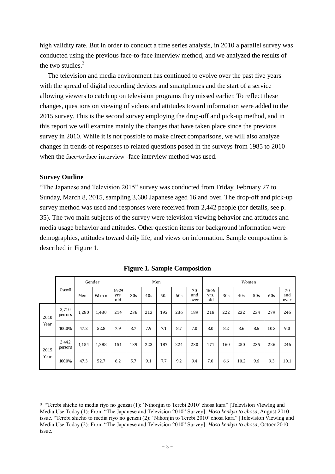high validity rate. But in order to conduct a time series analysis, in 2010 a parallel survey was conducted using the previous face-to-face interview method, and we analyzed the results of the two studies.<sup>3</sup>

The television and media environment has continued to evolve over the past five years with the spread of digital recording devices and smartphones and the start of a service allowing viewers to catch up on television programs they missed earlier. To reflect these changes, questions on viewing of videos and attitudes toward information were added to the 2015 survey. This is the second survey employing the drop-off and pick-up method, and in this report we will examine mainly the changes that have taken place since the previous survey in 2010. While it is not possible to make direct comparisons, we will also analyze changes in trends of responses to related questions posed in the surveys from 1985 to 2010 when the face-to-face interview -face interview method was used.

### **Survey Outline**

 $\overline{a}$ 

"The Japanese and Television 2015" survey was conducted from Friday, February 27 to Sunday, March 8, 2015, sampling 3,600 Japanese aged 16 and over. The drop-off and pick-up survey method was used and responses were received from 2,442 people (for details, see p. 35). The two main subjects of the survey were television viewing behavior and attitudes and media usage behavior and attitudes. Other question items for background information were demographics, attitudes toward daily life, and views on information. Sample composition is described in Figure 1.

|      | Gender           |       |       | Men                  |     |     |     |     |                   |                      | Women |      |     |      |                   |  |
|------|------------------|-------|-------|----------------------|-----|-----|-----|-----|-------------------|----------------------|-------|------|-----|------|-------------------|--|
|      | Overall          | Men   | Women | 16-29<br>yrs.<br>old | 30s | 40s | 50s | 60s | 70<br>and<br>over | 16-29<br>yrs.<br>old | 30s   | 40s  | 50s | 60s  | 70<br>and<br>over |  |
| 2010 | 2,710<br>persons | 1,280 | 1,430 | 214                  | 236 | 213 | 192 | 236 | 189               | 218                  | 222   | 232  | 234 | 279  | 245               |  |
| Year | 100.0%           | 47.2  | 52.8  | 7.9                  | 8.7 | 7.9 | 7.1 | 8.7 | 7.0               | 8.0                  | 8.2   | 8.6  | 8.6 | 10.3 | 9.0               |  |
| 2015 | 2,442<br>persons | 1,154 | 1,288 | 151                  | 139 | 223 | 187 | 224 | 230               | 171                  | 160   | 250  | 235 | 226  | 246               |  |
| Year | 100.0%           | 47.3  | 52.7  | 6.2                  | 5.7 | 9.1 | 7.7 | 9.2 | 9.4               | 7.0                  | 6.6   | 10.2 | 9.6 | 9.3  | 10.1              |  |

**Figure 1. Sample Composition**

<sup>&</sup>lt;sup>3</sup> "Terebi shicho to media riyo no genzai (1): 'Nihonjin to Terebi 2010' chosa kara" [Television Viewing and Media Use Today (1): From "The Japanese and Television 2010" Survey], *Hoso kenkyu to chosa*, August 2010 issue. "Terebi shicho to media riyo no genzai (2): 'Nihonjin to Terebi 2010' chosa kara" [Television Viewing and Media Use Today (2): From "The Japanese and Television 2010" Survey], *Hoso kenkyu to chosa*, Octoer 2010 issue.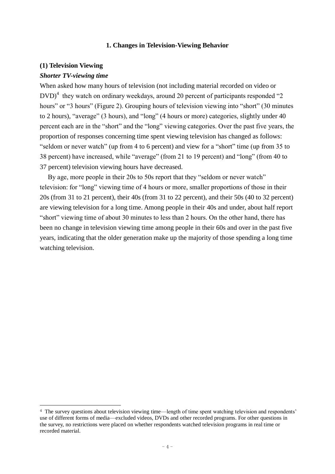#### **1. Changes in Television-Viewing Behavior**

# **(1) Television Viewing**

### *Shorter TV-viewing time*

When asked how many hours of television (not including material recorded on video or  $DVD$ <sup>4</sup> they watch on ordinary weekdays, around 20 percent of participants responded "2 hours" or "3 hours" (Figure 2). Grouping hours of television viewing into "short" (30 minutes to 2 hours), "average" (3 hours), and "long" (4 hours or more) categories, slightly under 40 percent each are in the "short" and the "long" viewing categories. Over the past five years, the proportion of responses concerning time spent viewing television has changed as follows: "seldom or never watch" (up from 4 to 6 percent) and view for a "short" time (up from 35 to 38 percent) have increased, while "average" (from 21 to 19 percent) and "long" (from 40 to 37 percent) television viewing hours have decreased.

By age, more people in their 20s to 50s report that they "seldom or never watch" television: for "long" viewing time of 4 hours or more, smaller proportions of those in their 20s (from 31 to 21 percent), their 40s (from 31 to 22 percent), and their 50s (40 to 32 percent) are viewing television for a long time. Among people in their 40s and under, about half report "short" viewing time of about 30 minutes to less than 2 hours. On the other hand, there has been no change in television viewing time among people in their 60s and over in the past five years, indicating that the older generation make up the majority of those spending a long time watching television.

<sup>&</sup>lt;sup>4</sup> The survey questions about television viewing time—length of time spent watching television and respondents' use of different forms of media—excluded videos, DVDs and other recorded programs. For other questions in the survey, no restrictions were placed on whether respondents watched television programs in real time or recorded material.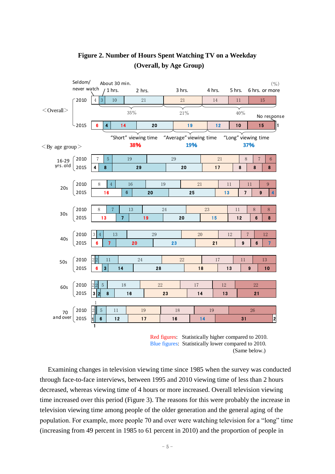

# **Figure 2. Number of Hours Spent Watching TV on a Weekday (Overall, by Age Group)**

Red figures: Statistically higher compared to 2010. Blue figures: Statistically lower compared to 2010. (Same below.)

Examining changes in television viewing time since 1985 when the survey was conducted through face-to-face interviews, between 1995 and 2010 viewing time of less than 2 hours decreased, whereas viewing time of 4 hours or more increased. Overall television viewing time increased over this period (Figure 3). The reasons for this were probably the increase in television viewing time among people of the older generation and the general aging of the population. For example, more people 70 and over were watching television for a "long" time (increasing from 49 percent in 1985 to 61 percent in 2010) and the proportion of people in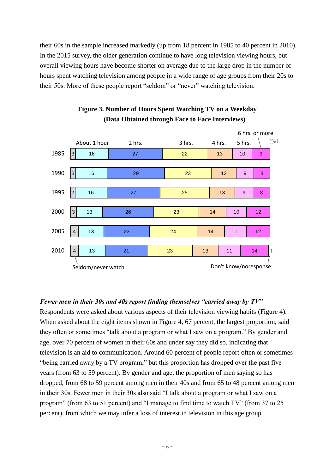their 60s in the sample increased markedly (up from 18 percent in 1985 to 40 percent in 2010). In the 2015 survey, the older generation continue to have long television viewing hours, but overall viewing hours have become shorter on average due to the large drop in the number of hours spent watching television among people in a wide range of age groups from their 20s to their 50s. More of these people report "seldom" or "never" watching television.



# **Figure 3. Number of Hours Spent Watching TV on a Weekday (Data Obtained through Face to Face Interviews)**

# *Fewer men in their 30s and 40s report finding themselves "carried away by TV"*

Respondents were asked about various aspects of their television viewing habits (Figure 4). When asked about the eight items shown in Figure 4, 67 percent, the largest proportion, said they often or sometimes "talk about a program or what I saw on a program." By gender and age, over 70 percent of women in their 60s and under say they did so, indicating that television is an aid to communication. Around 60 percent of people report often or sometimes "being carried away by a TV program," but this proportion has dropped over the past five years (from 63 to 59 percent). By gender and age, the proportion of men saying so has dropped, from 68 to 59 percent among men in their 40s and from 65 to 48 percent among men in their 30s. Fewer men in their 30s also said "I talk about a program or what I saw on a program" (from 63 to 51 percent) and "I manage to find time to watch TV" (from 37 to 25 percent), from which we may infer a loss of interest in television in this age group.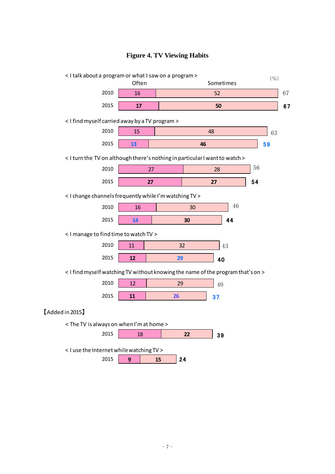

# **Figure 4. TV Viewing Habits**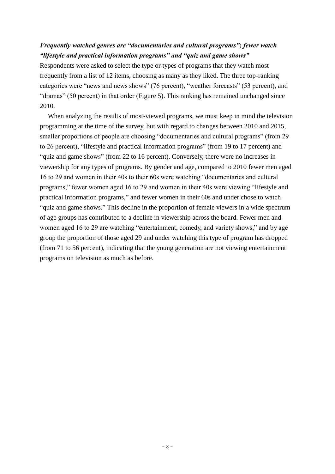# *Frequently watched genres are "documentaries and cultural programs"; fewer watch "lifestyle and practical information programs" and "quiz and game shows"*

Respondents were asked to select the type or types of programs that they watch most frequently from a list of 12 items, choosing as many as they liked. The three top-ranking categories were "news and news shows" (76 percent), "weather forecasts" (53 percent), and "dramas" (50 percent) in that order (Figure 5). This ranking has remained unchanged since 2010.

When analyzing the results of most-viewed programs, we must keep in mind the television programming at the time of the survey, but with regard to changes between 2010 and 2015, smaller proportions of people are choosing "documentaries and cultural programs" (from 29 to 26 percent), "lifestyle and practical information programs" (from 19 to 17 percent) and "quiz and game shows" (from 22 to 16 percent). Conversely, there were no increases in viewership for any types of programs. By gender and age, compared to 2010 fewer men aged 16 to 29 and women in their 40s to their 60s were watching "documentaries and cultural programs," fewer women aged 16 to 29 and women in their 40s were viewing "lifestyle and practical information programs," and fewer women in their 60s and under chose to watch "quiz and game shows." This decline in the proportion of female viewers in a wide spectrum of age groups has contributed to a decline in viewership across the board. Fewer men and women aged 16 to 29 are watching "entertainment, comedy, and variety shows," and by age group the proportion of those aged 29 and under watching this type of program has dropped (from 71 to 56 percent), indicating that the young generation are not viewing entertainment programs on television as much as before.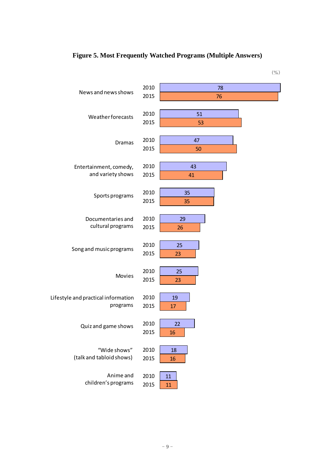

# **Figure 5. Most Frequently Watched Programs (Multiple Answers)**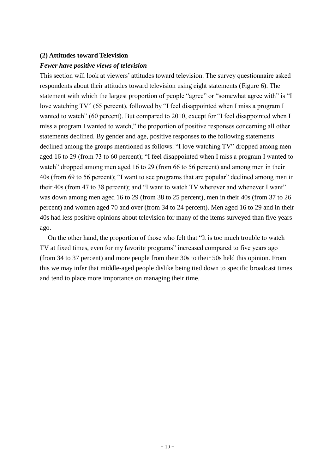### **(2) Attitudes toward Television**

### *Fewer have positive views of television*

This section will look at viewers' attitudes toward television. The survey questionnaire asked respondents about their attitudes toward television using eight statements (Figure 6). The statement with which the largest proportion of people "agree" or "somewhat agree with" is "I love watching TV" (65 percent), followed by "I feel disappointed when I miss a program I wanted to watch" (60 percent). But compared to 2010, except for "I feel disappointed when I miss a program I wanted to watch," the proportion of positive responses concerning all other statements declined. By gender and age, positive responses to the following statements declined among the groups mentioned as follows: "I love watching TV" dropped among men aged 16 to 29 (from 73 to 60 percent); "I feel disappointed when I miss a program I wanted to watch" dropped among men aged 16 to 29 (from 66 to 56 percent) and among men in their 40s (from 69 to 56 percent); "I want to see programs that are popular" declined among men in their 40s (from 47 to 38 percent); and "I want to watch TV wherever and whenever I want" was down among men aged 16 to 29 (from 38 to 25 percent), men in their 40s (from 37 to 26 percent) and women aged 70 and over (from 34 to 24 percent). Men aged 16 to 29 and in their 40s had less positive opinions about television for many of the items surveyed than five years ago.

On the other hand, the proportion of those who felt that "It is too much trouble to watch TV at fixed times, even for my favorite programs" increased compared to five years ago (from 34 to 37 percent) and more people from their 30s to their 50s held this opinion. From this we may infer that middle-aged people dislike being tied down to specific broadcast times and tend to place more importance on managing their time.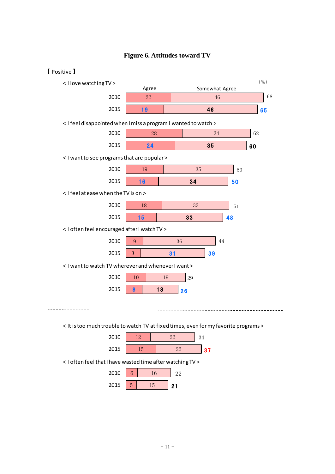

### **Figure 6. Attitudes toward TV**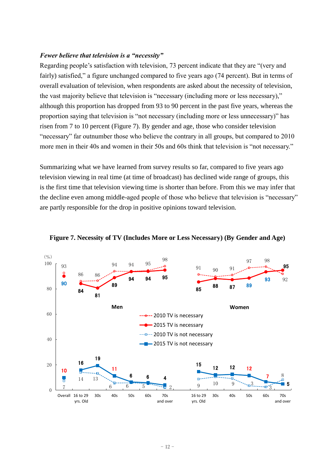### *Fewer believe that television is a "necessity"*

Regarding people's satisfaction with television, 73 percent indicate that they are "(very and fairly) satisfied," a figure unchanged compared to five years ago (74 percent). But in terms of overall evaluation of television, when respondents are asked about the necessity of television, the vast majority believe that television is "necessary (including more or less necessary)," although this proportion has dropped from 93 to 90 percent in the past five years, whereas the proportion saying that television is "not necessary (including more or less unnecessary)" has risen from 7 to 10 percent (Figure 7). By gender and age, those who consider television "necessary" far outnumber those who believe the contrary in all groups, but compared to 2010 more men in their 40s and women in their 50s and 60s think that television is "not necessary."

Summarizing what we have learned from survey results so far, compared to five years ago television viewing in real time (at time of broadcast) has declined wide range of groups, this is the first time that television viewing time is shorter than before. From this we may infer that the decline even among middle-aged people of those who believe that television is "necessary" are partly responsible for the drop in positive opinions toward television.



**Figure 7. Necessity of TV (Includes More or Less Necessary) (By Gender and Age)**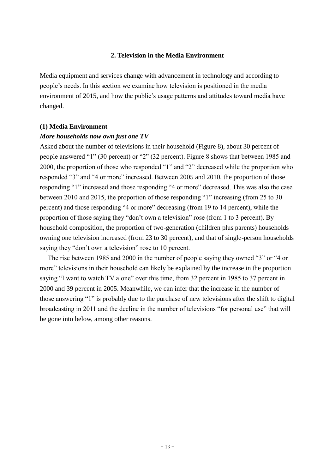### **2. Television in the Media Environment**

Media equipment and services change with advancement in technology and according to people's needs. In this section we examine how television is positioned in the media environment of 2015, and how the public's usage patterns and attitudes toward media have changed.

### **(1) Media Environment**

### *More households now own just one TV*

Asked about the number of televisions in their household (Figure 8), about 30 percent of people answered "1" (30 percent) or "2" (32 percent). Figure 8 shows that between 1985 and 2000, the proportion of those who responded "1" and "2" decreased while the proportion who responded "3" and "4 or more" increased. Between 2005 and 2010, the proportion of those responding "1" increased and those responding "4 or more" decreased. This was also the case between 2010 and 2015, the proportion of those responding "1" increasing (from 25 to 30 percent) and those responding "4 or more" decreasing (from 19 to 14 percent), while the proportion of those saying they "don't own a television" rose (from 1 to 3 percent). By household composition, the proportion of two-generation (children plus parents) households owning one television increased (from 23 to 30 percent), and that of single-person households saying they "don't own a television" rose to 10 percent.

The rise between 1985 and 2000 in the number of people saying they owned "3" or "4 or more" televisions in their household can likely be explained by the increase in the proportion saying "I want to watch TV alone" over this time, from 32 percent in 1985 to 37 percent in 2000 and 39 percent in 2005. Meanwhile, we can infer that the increase in the number of those answering "1" is probably due to the purchase of new televisions after the shift to digital broadcasting in 2011 and the decline in the number of televisions "for personal use" that will be gone into below, among other reasons.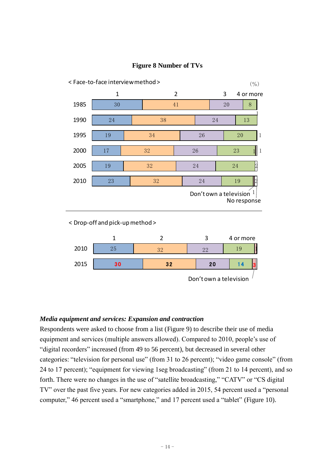

# **Figure 8 Number of TVs**

< Drop-off and pick-up method >



# *Media equipment and services: Expansion and contraction*

Respondents were asked to choose from a list (Figure 9) to describe their use of media equipment and services (multiple answers allowed). Compared to 2010, people's use of "digital recorders" increased (from 49 to 56 percent), but decreased in several other categories: "television for personal use" (from 31 to 26 percent); "video game console" (from 24 to 17 percent); "equipment for viewing 1seg broadcasting" (from 21 to 14 percent), and so forth. There were no changes in the use of "satellite broadcasting," "CATV" or "CS digital TV" over the past five years. For new categories added in 2015, 54 percent used a "personal computer," 46 percent used a "smartphone," and 17 percent used a "tablet" (Figure 10).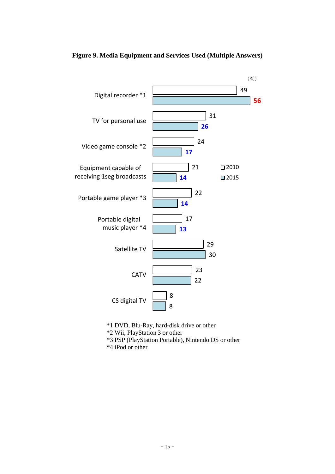

**Figure 9. Media Equipment and Services Used (Multiple Answers)**

\*1 DVD, Blu-Ray, hard-disk drive or other

\*2 Wii, PlayStation 3 or other

\*3 PSP (PlayStation Portable), Nintendo DS or other

\*4 iPod or other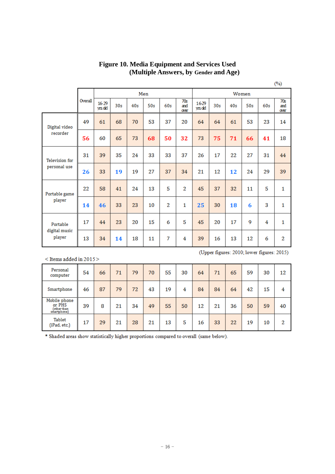|                                     |         |                |                 |     |     |                |                    |                 |                 |     |     |     | $(\%)$             |
|-------------------------------------|---------|----------------|-----------------|-----|-----|----------------|--------------------|-----------------|-----------------|-----|-----|-----|--------------------|
|                                     |         |                |                 |     | Men |                |                    | Women           |                 |     |     |     |                    |
|                                     | Overall | 16-29<br>ws dd | 30 <sub>s</sub> | 40s | 50s | 60s            | 70s<br>and<br>over | 16-29<br>yrs dd | 30 <sub>s</sub> | 40s | 50s | 60s | 70s<br>and<br>over |
| Digital video<br>recorder           | 49      | 61             | 68              | 70  | 53  | 37             | 20                 | 64              | 64              | 61  | 53  | 23  | 14                 |
|                                     | 56      | 60             | 65              | 73  | 68  | 50             | 32                 | 73              | 75              | 71  | 66  | 41  | 18                 |
| <b>Television</b> for               | 31      | 39             | 35              | 24  | 33  | 33             | 37                 | 26              | 17              | 22  | 27  | 31  | 44                 |
| personal use                        | 26      | 33             | 19              | 19  | 27  | 37             | 34                 | 21              | 12              | 12  | 24  | 29  | 39                 |
| Portable game                       | 22      | 58             | 41              | 24  | 13  | 5              | $\overline{2}$     | 45              | 37              | 32  | 11  | 5   | 1                  |
| player                              | 14      | 46             | 33              | 23  | 10  | $\overline{2}$ | $\mathbf{1}$       | 25              | 30              | 18  | 6   | 3   | 1                  |
| Portable<br>digital music<br>player | 17      | 44             | 23              | 20  | 15  | 6              | 5                  | 45              | 20              | 17  | 9   | 4   | $\mathbf{1}$       |
|                                     | 13      | 34             | 14              | 18  | 11  | 7              | 4                  | 39              | 16              | 13  | 12  | 6   | $\overline{2}$     |

**Figure 10. Media Equipment and Services Used (Multiple Answers, by Gender and Age)**

 $<$  Items added in 2015  $>$ 

| Personal<br>computer                                 | 54 | 66 | 71 | 79 | 70 | 55 | 30 | 64 | 71 | 65 | 59 | 30 | 12 |
|------------------------------------------------------|----|----|----|----|----|----|----|----|----|----|----|----|----|
| Smartphone                                           | 46 | 87 | 79 | 72 | 43 | 19 | 4  | 84 | 84 | 64 | 42 | 15 | 4  |
| Mobile phone<br>or PHS<br>(other than<br>smartphone) | 39 | 8  | 21 | 34 | 49 | 55 | 50 | 12 | 21 | 36 | 50 | 59 | 40 |
| Tablet<br>(iPad, etc.)                               | 17 | 29 | 21 | 28 | 21 | 13 | 5  | 16 | 33 | 22 | 19 | 10 | 2  |

(Upper figures: 2010; lower figures: 2015)

\* Shaded areas show statistically higher proportions compared to overall (same below).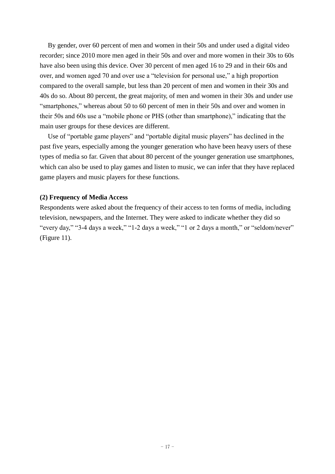By gender, over 60 percent of men and women in their 50s and under used a digital video recorder; since 2010 more men aged in their 50s and over and more women in their 30s to 60s have also been using this device. Over 30 percent of men aged 16 to 29 and in their 60s and over, and women aged 70 and over use a "television for personal use," a high proportion compared to the overall sample, but less than 20 percent of men and women in their 30s and 40s do so. About 80 percent, the great majority, of men and women in their 30s and under use "smartphones," whereas about 50 to 60 percent of men in their 50s and over and women in their 50s and 60s use a "mobile phone or PHS (other than smartphone)," indicating that the main user groups for these devices are different.

Use of "portable game players" and "portable digital music players" has declined in the past five years, especially among the younger generation who have been heavy users of these types of media so far. Given that about 80 percent of the younger generation use smartphones, which can also be used to play games and listen to music, we can infer that they have replaced game players and music players for these functions.

### **(2) Frequency of Media Access**

Respondents were asked about the frequency of their access to ten forms of media, including television, newspapers, and the Internet. They were asked to indicate whether they did so "every day," "3-4 days a week," "1-2 days a week," "1 or 2 days a month," or "seldom/never" (Figure 11).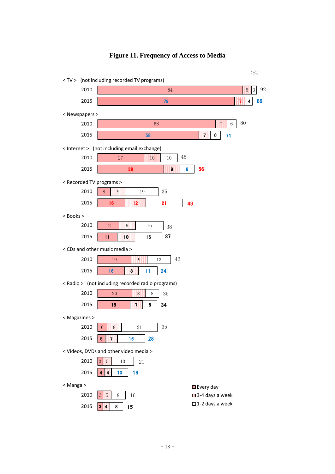

# **Figure 11. Frequency of Access to Media**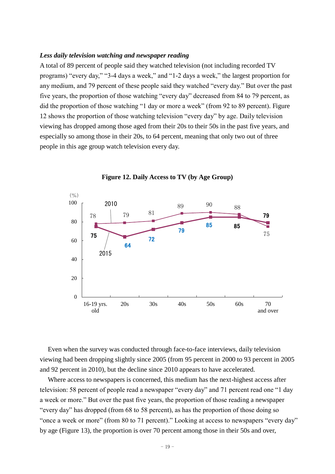#### *Less daily television watching and newspaper reading*

A total of 89 percent of people said they watched television (not including recorded TV programs) "every day," "3-4 days a week," and "1-2 days a week," the largest proportion for any medium, and 79 percent of these people said they watched "every day." But over the past five years, the proportion of those watching "every day" decreased from 84 to 79 percent, as did the proportion of those watching "1 day or more a week" (from 92 to 89 percent). Figure 12 shows the proportion of those watching television "every day" by age. Daily television viewing has dropped among those aged from their 20s to their 50s in the past five years, and especially so among those in their 20s, to 64 percent, meaning that only two out of three people in this age group watch television every day.



**Figure 12. Daily Access to TV (by Age Group)**

Even when the survey was conducted through face-to-face interviews, daily television viewing had been dropping slightly since 2005 (from 95 percent in 2000 to 93 percent in 2005 and 92 percent in 2010), but the decline since 2010 appears to have accelerated.

Where access to newspapers is concerned, this medium has the next-highest access after television: 58 percent of people read a newspaper "every day" and 71 percent read one "1 day a week or more." But over the past five years, the proportion of those reading a newspaper "every day" has dropped (from 68 to 58 percent), as has the proportion of those doing so "once a week or more" (from 80 to 71 percent)." Looking at access to newspapers "every day" by age (Figure 13), the proportion is over 70 percent among those in their 50s and over,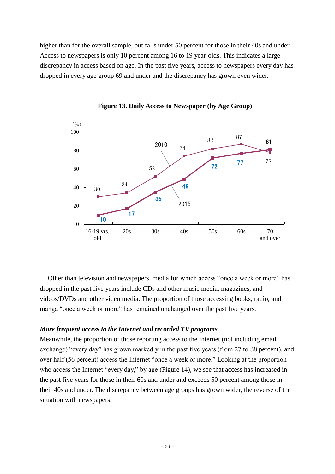higher than for the overall sample, but falls under 50 percent for those in their 40s and under. Access to newspapers is only 10 percent among 16 to 19 year-olds. This indicates a large discrepancy in access based on age. In the past five years, access to newspapers every day has dropped in every age group 69 and under and the discrepancy has grown even wider.



**Figure 13. Daily Access to Newspaper (by Age Group)**

Other than television and newspapers, media for which access "once a week or more" has dropped in the past five years include CDs and other music media, magazines, and videos/DVDs and other video media. The proportion of those accessing books, radio, and manga "once a week or more" has remained unchanged over the past five years.

### *More frequent access to the Internet and recorded TV programs*

Meanwhile, the proportion of those reporting access to the Internet (not including email exchange) "every day" has grown markedly in the past five years (from 27 to 38 percent), and over half (56 percent) access the Internet "once a week or more." Looking at the proportion who access the Internet "every day," by age (Figure 14), we see that access has increased in the past five years for those in their 60s and under and exceeds 50 percent among those in their 40s and under. The discrepancy between age groups has grown wider, the reverse of the situation with newspapers.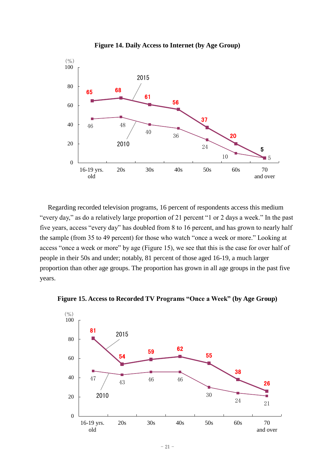



Regarding recorded television programs, 16 percent of respondents access this medium "every day," as do a relatively large proportion of 21 percent "1 or 2 days a week." In the past five years, access "every day" has doubled from 8 to 16 percent, and has grown to nearly half the sample (from 35 to 49 percent) for those who watch "once a week or more." Looking at access "once a week or more" by age (Figure 15), we see that this is the case for over half of people in their 50s and under; notably, 81 percent of those aged 16-19, a much larger proportion than other age groups. The proportion has grown in all age groups in the past five years.



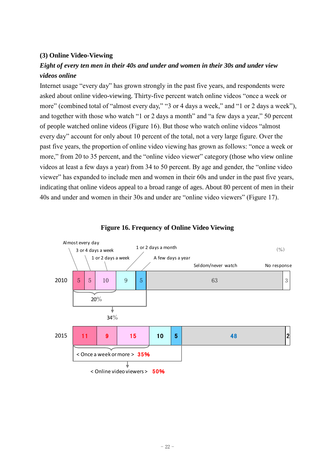# **(3) Online Video-Viewing**

# *Eight of every ten men in their 40s and under and women in their 30s and under view videos online*

Internet usage "every day" has grown strongly in the past five years, and respondents were asked about online video-viewing. Thirty-five percent watch online videos "once a week or more" (combined total of "almost every day," "3 or 4 days a week," and "1 or 2 days a week"), and together with those who watch "1 or 2 days a month" and "a few days a year," 50 percent of people watched online videos (Figure 16). But those who watch online videos "almost every day" account for only about 10 percent of the total, not a very large figure. Over the past five years, the proportion of online video viewing has grown as follows: "once a week or more," from 20 to 35 percent, and the "online video viewer" category (those who view online videos at least a few days a year) from 34 to 50 percent. By age and gender, the "online video viewer" has expanded to include men and women in their 60s and under in the past five years, indicating that online videos appeal to a broad range of ages. About 80 percent of men in their 40s and under and women in their 30s and under are "online video viewers" (Figure 17).



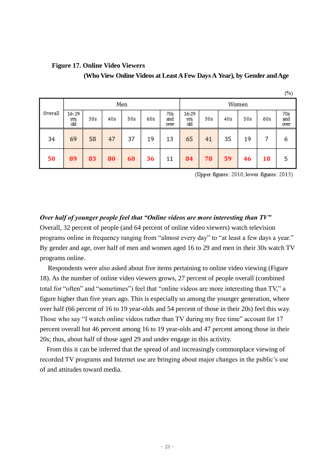# **Figure 17. Online Video Viewers**

**(Who View Online Videos at Least A Few Days A Year), by Gender and Age**

|         |                          |     |     |     |     |                    |                      |     |     |     |     | (%)                |  |
|---------|--------------------------|-----|-----|-----|-----|--------------------|----------------------|-----|-----|-----|-----|--------------------|--|
| Men     |                          |     |     |     |     |                    | Women                |     |     |     |     |                    |  |
| Overall | $16 - 29$<br>yrs.<br>old | 30s | 40s | 50s | 60s | 70s<br>and<br>over | 16-29<br>yrs.<br>old | 30s | 40s | 50s | 60s | 70s<br>and<br>over |  |
| 34      | 69                       | 58  | 47  | 37  | 19  | 13                 | 65                   | 41  | 35  | 19  | 7   | 6                  |  |
| 50      | 89                       | 83  | 80  | 60  | 36  | 11                 | 84                   | 78  | 59  | 46  | 18  | 5                  |  |

(Upper figures: 2010; lower figures: 2015)

*Over half of younger people feel that "Online videos are more interesting than TV"* Overall, 32 percent of people (and 64 percent of online video viewers) watch television programs online in frequency ranging from "almost every day" to "at least a few days a year." By gender and age, over half of men and women aged 16 to 29 and men in their 30s watch TV programs online.

Respondents were also asked about five items pertaining to online video viewing (Figure 18). As the number of online video viewers grows, 27 percent of people overall (combined total for "often" and "sometimes") feel that "online videos are more interesting than TV," a figure higher than five years ago. This is especially so among the younger generation, where over half (66 percent of 16 to 19 year-olds and 54 percent of those in their 20s) feel this way. Those who say "I watch online videos rather than TV during my free time" account for 17 percent overall but 46 percent among 16 to 19 year-olds and 47 percent among those in their 20s; thus, about half of those aged 29 and under engage in this activity.

 From this it can be inferred that the spread of and increasingly commonplace viewing of recorded TV programs and Internet use are bringing about major changes in the public's use of and attitudes toward media.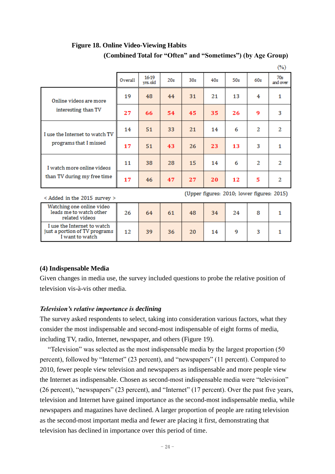|                                |         |                  |     |                 |     |     |     | $\sqrt{2}$      |
|--------------------------------|---------|------------------|-----|-----------------|-----|-----|-----|-----------------|
|                                | Overall | 16-19<br>yrs.old | 20s | 30 <sub>s</sub> | 40s | 50s | 60s | 70s<br>and over |
| Online videos are more         | 19      | 48               | 44  | 31              | 21  | 13  | 4   | 1               |
| interesting than TV            | 27      | 66               | 54  | 45              | 35  | 26  | 9   | 3               |
| I use the Internet to watch TV | 14      | 51               | 33  | 21              | 14  | 6   | 2   | 2               |
| programs that I missed         | 17      | 51               | 43  | 26              | 23  | 13  | 3   | $\mathbf{1}$    |
| I watch more online videos     | 11      | 38               | 28  | 15              | 14  | 6   | 2   | 2               |
| than TV during my free time    | 17      | 46               | 47  | 27              | 20  | 12  | 5   | 2               |

# **Figure 18. Online Video-Viewing Habits (Combined Total for "Often" and "Sometimes") (by Age Group)**

< Added in the 2015 survey >

(Upper figures: 2010; lower figures: 2015)

 $\sqrt{2}$ 

| Watching one online video<br>leads me to watch other<br>related videos          | 26 | 64 |    | 48 | 34 | 24 |  |
|---------------------------------------------------------------------------------|----|----|----|----|----|----|--|
| I use the Internet to watch<br>just a portion of TV programs<br>I want to watch | 12 | 39 | 36 |    | 14 |    |  |

# **(4) Indispensable Media**

Given changes in media use, the survey included questions to probe the relative position of television vis-à-vis other media.

# *Television's relative importance is declining*

The survey asked respondents to select, taking into consideration various factors, what they consider the most indispensable and second-most indispensable of eight forms of media, including TV, radio, Internet, newspaper, and others (Figure 19).

"Television" was selected as the most indispensable media by the largest proportion (50 percent), followed by "Internet" (23 percent), and "newspapers" (11 percent). Compared to 2010, fewer people view television and newspapers as indispensable and more people view the Internet as indispensable. Chosen as second-most indispensable media were "television" (26 percent), "newspapers" (23 percent), and "Internet" (17 percent). Over the past five years, television and Internet have gained importance as the second-most indispensable media, while newspapers and magazines have declined. A larger proportion of people are rating television as the second-most important media and fewer are placing it first, demonstrating that television has declined in importance over this period of time.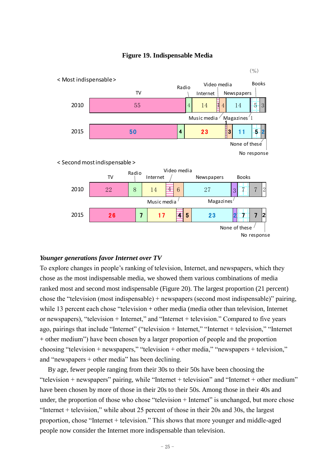

### **Figure 19. Indispensable Media**

### *Younger generations favor Internet over TV*

To explore changes in people's ranking of television, Internet, and newspapers, which they chose as the most indispensable media, we showed them various combinations of media ranked most and second most indispensable (Figure 20). The largest proportion (21 percent) chose the "television (most indispensable) + newspapers (second most indispensable)" pairing, while 13 percent each chose "television + other media (media other than television, Internet or newspapers), "television + Internet," and "Internet + television." Compared to five years ago, pairings that include "Internet" ("television + Internet," "Internet + television," "Internet + other medium") have been chosen by a larger proportion of people and the proportion choosing "television + newspapers," "television + other media," "newspapers + television," and "newspapers + other media" has been declining.

By age, fewer people ranging from their 30s to their 50s have been choosing the "television + newspapers" pairing, while "Internet + television" and "Internet + other medium" have been chosen by more of those in their 20s to their 50s. Among those in their 40s and under, the proportion of those who chose "television + Internet" is unchanged, but more chose "Internet + television," while about 25 percent of those in their 20s and 30s, the largest proportion, chose "Internet + television." This shows that more younger and middle-aged people now consider the Internet more indispensable than television.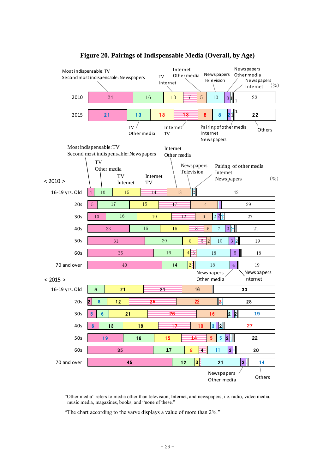

# **Figure 20. Pairings of Indispensable Media (Overall, by Age)**

"Other media" refers to media other than television, Internet, and newspapers, i.e. radio, video media, music media, magazines, books, and "none of these."

"The chart according to the varve displays a value of more than 2%."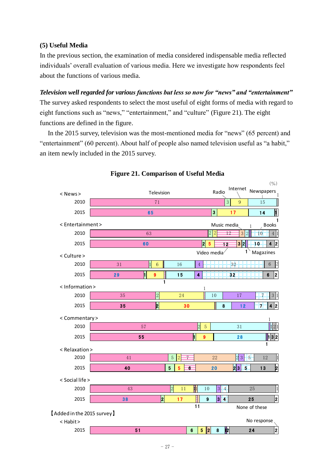### **(5) Useful Media**

In the previous section, the examination of media considered indispensable media reflected individuals' overall evaluation of various media. Here we investigate how respondents feel about the functions of various media.

### *Television well regarded for various functions but less so now for "news" and "entertainment"*

The survey asked respondents to select the most useful of eight forms of media with regard to eight functions such as "news," "entertainment," and "culture" (Figure 21). The eight functions are defined in the figure.

In the 2015 survey, television was the most-mentioned media for "news" (65 percent) and "entertainment" (60 percent). About half of people also named television useful as "a habit," an item newly included in the 2015 survey.



### **Figure 21. Comparison of Useful Media**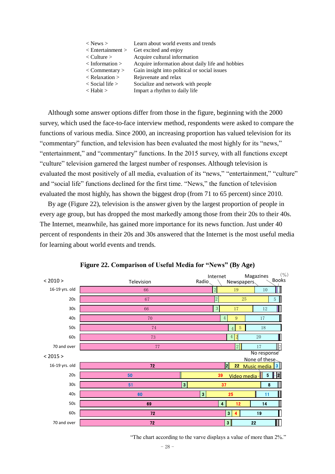| $<$ News $>$                    | Learn about world events and trends              |
|---------------------------------|--------------------------------------------------|
| $\leq$ Entertainment $>$        | Get excited and enjoy                            |
| $\langle$ Culture $\rangle$     | Acquire cultural information                     |
| $\langle$ Information $\rangle$ | Acquire information about daily life and hobbies |
| $\langle$ Commentary $\rangle$  | Gain insight into political or social issues     |
| $\langle$ Relaxation $\rangle$  | Rejuvenate and relax                             |
| $\langle$ Social life $\rangle$ | Socialize and network with people                |
| $\langle$ Habit $\rangle$       | Impart a rhythm to daily life                    |
|                                 |                                                  |

Although some answer options differ from those in the figure, beginning with the 2000 survey, which used the face-to-face interview method, respondents were asked to compare the functions of various media. Since 2000, an increasing proportion has valued television for its "commentary" function, and television has been evaluated the most highly for its "news," "entertainment," and "commentary" functions. In the 2015 survey, with all functions except "culture" television garnered the largest number of responses. Although television is evaluated the most positively of all media, evaluation of its "news," "entertainment," "culture" and "social life" functions declined for the first time. "News," the function of television evaluated the most highly, has shown the biggest drop (from 71 to 65 percent) since 2010.

By age (Figure 22), television is the answer given by the largest proportion of people in every age group, but has dropped the most markedly among those from their 20s to their 40s. The Internet, meanwhile, has gained more importance for its news function. Just under 40 percent of respondents in their 20s and 30s answered that the Internet is the most useful media for learning about world events and trends.



**Figure 22. Comparison of Useful Media for "News" (By Age)**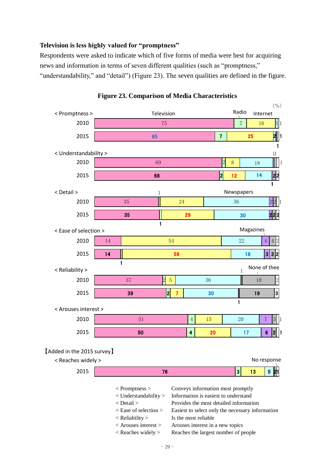### **Television is less highly valued for "promptness"**

Respondents were asked to indicate which of five forms of media were best for acquiring news and information in terms of seven different qualities (such as "promptness," "understandability," and "detail") (Figure 23). The seven qualities are defined in the figure.



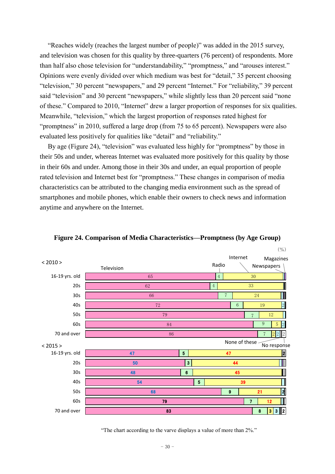"Reaches widely (reaches the largest number of people)" was added in the 2015 survey, and television was chosen for this quality by three-quarters (76 percent) of respondents. More than half also chose television for "understandability," "promptness," and "arouses interest." Opinions were evenly divided over which medium was best for "detail," 35 percent choosing "television," 30 percent "newspapers," and 29 percent "Internet." For "reliability," 39 percent said "television" and 30 percent "newspapers," while slightly less than 20 percent said "none of these." Compared to 2010, "Internet" drew a larger proportion of responses for six qualities. Meanwhile, "television," which the largest proportion of responses rated highest for "promptness" in 2010, suffered a large drop (from 75 to 65 percent). Newspapers were also evaluated less positively for qualities like "detail" and "reliability."

By age (Figure 24), "television" was evaluated less highly for "promptness" by those in their 50s and under, whereas Internet was evaluated more positively for this quality by those in their 60s and under. Among those in their 30s and under, an equal proportion of people rated television and Internet best for "promptness." These changes in comparison of media characteristics can be attributed to the changing media environment such as the spread of smartphones and mobile phones, which enable their owners to check news and information anytime and anywhere on the Internet.



**Figure 24. Comparison of Media Characteristics—Promptness (by Age Group)**

"The chart according to the varve displays a value of more than 2%."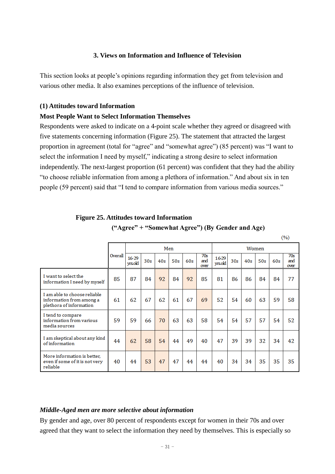# **3. Views on Information and Influence of Television**

This section looks at people's opinions regarding information they get from television and various other media. It also examines perceptions of the influence of television.

### **(1) Attitudes toward Information**

### **Most People Want to Select Information Themselves**

Respondents were asked to indicate on a 4-point scale whether they agreed or disagreed with five statements concerning information (Figure 25). The statement that attracted the largest proportion in agreement (total for "agree" and "somewhat agree") (85 percent) was "I want to select the information I need by myself," indicating a strong desire to select information independently. The next-largest proportion (61 percent) was confident that they had the ability "to choose reliable information from among a plethora of information." And about six in ten people (59 percent) said that "I tend to compare information from various media sources."

|                                                                                     |         |                 |                 |     |     |     |                    |                 |                 |     |       |     | (70)               |
|-------------------------------------------------------------------------------------|---------|-----------------|-----------------|-----|-----|-----|--------------------|-----------------|-----------------|-----|-------|-----|--------------------|
|                                                                                     |         |                 |                 |     | Men |     |                    |                 |                 |     | Women |     |                    |
|                                                                                     | Overall | 16-29<br>yrsold | 30 <sub>s</sub> | 40s | 50s | 60s | 70s<br>and<br>over | 16-29<br>yrsold | 30 <sub>s</sub> | 40s | 50s   | 60s | 70s<br>and<br>over |
| I want to select the<br>information I need by myself                                | 85      | 87              | 84              | 92  | 84  | 92  | 85                 | 81              | 86              | 86  | 84    | 84  | 77                 |
| I am able to choose reliable<br>information from among a<br>plethora of information | 61      | 62              | 67              | 62  | 61  | 67  | 69                 | 52              | 54              | 60  | 63    | 59  | 58                 |
| I tend to compare<br>information from various<br>media sources                      | 59      | 59              | 66              | 70  | 63  | 63  | 58                 | 54              | 54              | 57  | 57    | 54  | 52                 |
| I am skeptical about any kind<br>of information                                     | 44      | 62              | 58              | 54  | 44  | 49  | 40                 | 47              | 39              | 39  | 32    | 34  | 42                 |
| More information is better,<br>even if some of it is not very<br>reliable           | 40      | 44              | 53              | 47  | 47  | 44  | 44                 | 40              | 34              | 34  | 35    | 35  | 35                 |

#### **Figure 25. Attitudes toward Information**

**("Agree" + "Somewhat Agree") (By Gender and Age)**

|          | ٠ |   |  |
|----------|---|---|--|
| e e<br>I |   |   |  |
|          |   | ٠ |  |

### *Middle-Aged men are more selective about information*

By gender and age, over 80 percent of respondents except for women in their 70s and over agreed that they want to select the information they need by themselves. This is especially so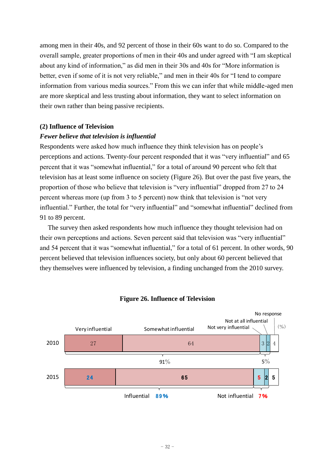among men in their 40s, and 92 percent of those in their 60s want to do so. Compared to the overall sample, greater proportions of men in their 40s and under agreed with "I am skeptical about any kind of information," as did men in their 30s and 40s for "More information is better, even if some of it is not very reliable," and men in their 40s for "I tend to compare information from various media sources." From this we can infer that while middle-aged men are more skeptical and less trusting about information, they want to select information on their own rather than being passive recipients.

### **(2) Influence of Television**

### *Fewer believe that television is influential*

Respondents were asked how much influence they think television has on people's perceptions and actions. Twenty-four percent responded that it was "very influential" and 65 percent that it was "somewhat influential," for a total of around 90 percent who felt that television has at least some influence on society (Figure 26). But over the past five years, the proportion of those who believe that television is "very influential" dropped from 27 to 24 percent whereas more (up from 3 to 5 percent) now think that television is "not very influential." Further, the total for "very influential" and "somewhat influential" declined from 91 to 89 percent.

The survey then asked respondents how much influence they thought television had on their own perceptions and actions. Seven percent said that television was "very influential" and 54 percent that it was "somewhat influential," for a total of 61 percent. In other words, 90 percent believed that television influences society, but only about 60 percent believed that they themselves were influenced by television, a finding unchanged from the 2010 survey.



### **Figure 26. Influence of Television**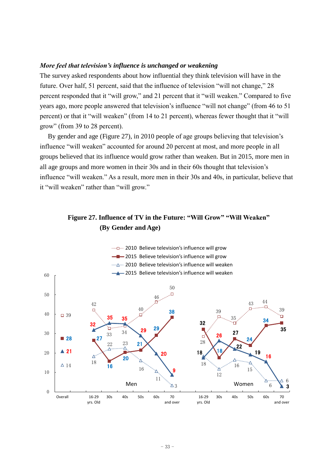### *More feel that television's influence is unchanged or weakening*

The survey asked respondents about how influential they think television will have in the future. Over half, 51 percent, said that the influence of television "will not change," 28 percent responded that it "will grow," and 21 percent that it "will weaken." Compared to five years ago, more people answered that television's influence "will not change" (from 46 to 51 percent) or that it "will weaken" (from 14 to 21 percent), whereas fewer thought that it "will grow" (from 39 to 28 percent).

By gender and age (Figure 27), in 2010 people of age groups believing that television's influence "will weaken" accounted for around 20 percent at most, and more people in all groups believed that its influence would grow rather than weaken. But in 2015, more men in all age groups and more women in their 30s and in their 60s thought that television's influence "will weaken." As a result, more men in their 30s and 40s, in particular, believe that it "will weaken" rather than "will grow."

# **Figure 27. Influence of TV in the Future: "Will Grow" "Will Weaken" (By Gender and Age)**

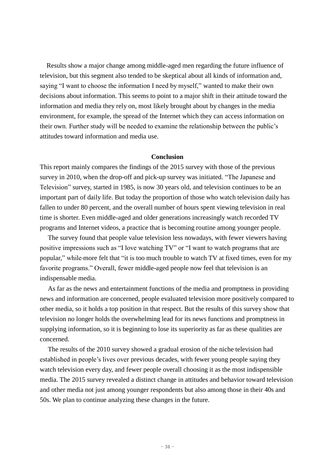Results show a major change among middle-aged men regarding the future influence of television, but this segment also tended to be skeptical about all kinds of information and, saying "I want to choose the information I need by myself," wanted to make their own decisions about information. This seems to point to a major shift in their attitude toward the information and media they rely on, most likely brought about by changes in the media environment, for example, the spread of the Internet which they can access information on their own. Further study will be needed to examine the relationship between the public's attitudes toward information and media use.

### **Conclusion**

This report mainly compares the findings of the 2015 survey with those of the previous survey in 2010, when the drop-off and pick-up survey was initiated. "The Japanese and Television" survey, started in 1985, is now 30 years old, and television continues to be an important part of daily life. But today the proportion of those who watch television daily has fallen to under 80 percent, and the overall number of hours spent viewing television in real time is shorter. Even middle-aged and older generations increasingly watch recorded TV programs and Internet videos, a practice that is becoming routine among younger people.

The survey found that people value television less nowadays, with fewer viewers having positive impressions such as "I love watching TV" or "I want to watch programs that are popular," while more felt that "it is too much trouble to watch TV at fixed times, even for my favorite programs." Overall, fewer middle-aged people now feel that television is an indispensable media.

As far as the news and entertainment functions of the media and promptness in providing news and information are concerned, people evaluated television more positively compared to other media, so it holds a top position in that respect. But the results of this survey show that television no longer holds the overwhelming lead for its news functions and promptness in supplying information, so it is beginning to lose its superiority as far as these qualities are concerned.

The results of the 2010 survey showed a gradual erosion of the niche television had established in people's lives over previous decades, with fewer young people saying they watch television every day, and fewer people overall choosing it as the most indispensible media. The 2015 survey revealed a distinct change in attitudes and behavior toward television and other media not just among younger respondents but also among those in their 40s and 50s. We plan to continue analyzing these changes in the future.